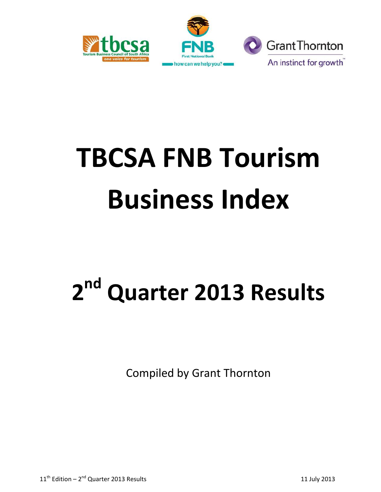



# **TBCSA FNB Tourism Business Index**

## **2 nd Quarter 2013 Results**

Compiled by Grant Thornton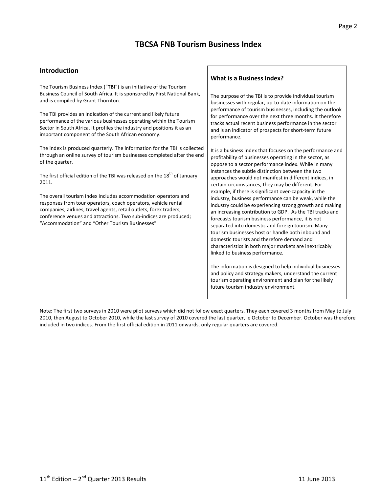## **TBCSA FNB Tourism Business Index**

#### **Introduction**

The Tourism Business Index ("**TBI**") is an initiative of the Tourism Business Council of South Africa. It is sponsored by First National Bank, and is compiled by Grant Thornton.

The TBI provides an indication of the current and likely future performance of the various businesses operating within the Tourism Sector in South Africa. It profiles the industry and positions it as an important component of the South African economy.

The index is produced quarterly. The information for the TBI is collected through an online survey of tourism businesses completed after the end of the quarter.

The first official edition of the TBI was released on the 18<sup>th</sup> of January 2011.

The overall tourism index includes accommodation operators and responses from tour operators, coach operators, vehicle rental companies, airlines, travel agents, retail outlets, forex traders, conference venues and attractions. Two sub-indices are produced; "Accommodation" and "Other Tourism Businesses"

#### **What is a Business Index?**

The purpose of the TBI is to provide individual tourism businesses with regular, up-to-date information on the performance of tourism businesses, including the outlook for performance over the next three months. It therefore tracks actual recent business performance in the sector and is an indicator of prospects for short-term future performance.

It is a business index that focuses on the performance and profitability of businesses operating in the sector, as oppose to a sector performance index. While in many instances the subtle distinction between the two approaches would not manifest in different indices, in certain circumstances, they may be different. For example, if there is significant over-capacity in the industry, business performance can be weak, while the industry could be experiencing strong growth and making an increasing contribution to GDP. As the TBI tracks and forecasts tourism business performance, it is not separated into domestic and foreign tourism. Many tourism businesses host or handle both inbound and domestic tourists and therefore demand and characteristics in both major markets are inextricably linked to business performance.

The information is designed to help individual businesses and policy and strategy makers, understand the current tourism operating environment and plan for the likely future tourism industry environment.

Note: The first two surveys in 2010 were pilot surveys which did not follow exact quarters. They each covered 3 months from May to July 2010, then August to October 2010, while the last survey of 2010 covered the last quarter, ie October to December. October was therefore included in two indices. From the first official edition in 2011 onwards, only regular quarters are covered.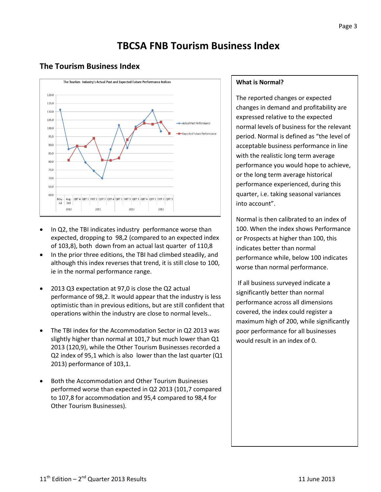## **TBCSA FNB Tourism Business Index**

### **The Tourism Business Index**



- In Q2, the TBI indicates industry performance worse than expected, dropping to 98,2 (compared to an expected index of 103,8), both down from an actual last quarter of 110,8
- In the prior three editions, the TBI had climbed steadily, and although this index reverses that trend, it is still close to 100, ie in the normal performance range.
- 2013 Q3 expectation at 97,0 is close the Q2 actual performance of 98,2. It would appear that the industry is less optimistic than in previous editions, but are still confident that operations within the industry are close to normal levels..
- The TBI index for the Accommodation Sector in Q2 2013 was slightly higher than normal at 101,7 but much lower than Q1 2013 (120,9), while the Other Tourism Businesses recorded a Q2 index of 95,1 which is also lower than the last quarter (Q1 2013) performance of 103,1.
- Both the Accommodation and Other Tourism Businesses performed worse than expected in Q2 2013 (101,7 compared to 107,8 for accommodation and 95,4 compared to 98,4 for Other Tourism Businesses).

#### **What is Normal?**

The reported changes or expected changes in demand and profitability are expressed relative to the expected normal levels of business for the relevant period. Normal is defined as "the level of acceptable business performance in line with the realistic long term average performance you would hope to achieve, or the long term average historical performance experienced, during this quarter, i.e. taking seasonal variances into account".

Normal is then calibrated to an index of 100. When the index shows Performance or Prospects at higher than 100, this indicates better than normal performance while, below 100 indicates worse than normal performance.

If all business surveyed indicate a significantly better than normal performance across all dimensions covered, the index could register a maximum high of 200, while significantly poor performance for all businesses would result in an index of 0.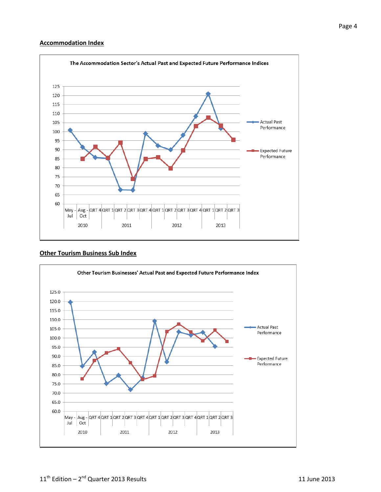#### **Accommodation Index**



#### **Other Tourism Business Sub Index**

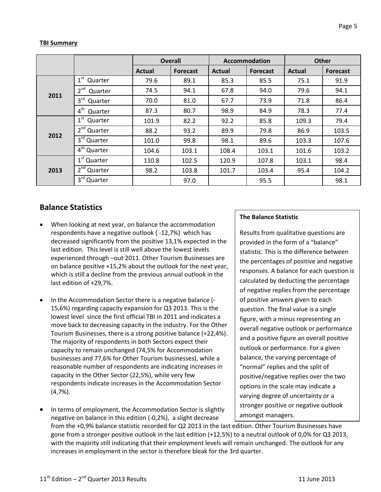## **TBI Summary**

|      |                            |        | <b>Overall</b>  |        | <b>Accommodation</b> |               | <b>Other</b>    |  |
|------|----------------------------|--------|-----------------|--------|----------------------|---------------|-----------------|--|
|      |                            | Actual | <b>Forecast</b> | Actual | <b>Forecast</b>      | <b>Actual</b> | <b>Forecast</b> |  |
|      | 1 <sup>st</sup><br>Quarter | 79.6   | 89.1            | 85.3   | 85.5                 | 75.1          | 91.9            |  |
| 2011 | 2 <sup>nd</sup><br>Quarter | 74.5   | 94.1            | 67.8   | 94.0                 | 79.6          | 94.1            |  |
|      | $3^{\text{rd}}$<br>Quarter | 70.0   | 81.0            | 67.7   | 73.9                 | 71.8          | 86.4            |  |
|      | 4 <sup>th</sup><br>Quarter | 87.3   | 80.7            | 98.9   | 84.9                 | 78.3          | 77.4            |  |
| 2012 | $1^{\rm st}$<br>Quarter    | 101.9  | 82.2            | 92.2   | 85.8                 | 109.3         | 79.4            |  |
|      | 2 <sup>nd</sup> Quarter    | 88.2   | 93.2            | 89.9   | 79.8                 | 86.9          | 103.5           |  |
|      | $3rd$ Quarter              | 101.0  | 99.8            | 98.1   | 89.6                 | 103.3         | 107.6           |  |
|      | 4 <sup>th</sup> Quarter    | 104.6  | 103.1           | 108.4  | 103.1                | 101.6         | 103.2           |  |
| 2013 | 1 <sup>st</sup> Quarter    | 110.8  | 102.5           | 120.9  | 107.8                | 103.1         | 98.4            |  |
|      | 2 <sup>nd</sup><br>Quarter | 98.2   | 103.8           | 101.7  | 103.4                | 95.4          | 104.2           |  |
|      | 3rd Quarter                |        | 97.0            |        | 95.5                 |               | 98.1            |  |

## **Balance Statistics**

- When looking at next year, on balance the accommodation respondents have a negative outlook ( -12,7%) which has decreased significantly from the positive 13,1% expected in the last edition. This level is still well above the lowest levels experienced through –out 2011. Other Tourism Businesses are on balance positive +15,2% about the outlook for the next year, which is still a decline from the previous annual outlook in the last edition of +29,7%.
- In the Accommodation Sector there is a negative balance (- 15,6%) regarding capacity expansion for Q3 2013. This is the lowest level since the first official TBI in 2011 and indicates a move back to decreasing capacity in the industry. For the Other Tourism Businesses, there is a strong positive balance (+22,4%). The majority of respondents in both Sectors expect their capacity to remain unchanged (74,5% for Accommodation businesses and 77,6% for Other Tourism businesses), while a reasonable number of respondents are indicating increases in capacity in the Other Sector (22,5%), while very few respondents indicate increases in the Accommodation Sector (4,7%).
- In terms of employment, the Accommodation Sector is slightly negative on balance in this edition (-0,2%), a slight decrease

from the +0,9% balance statistic recorded for Q2 2013 in the last edition. Other Tourism Businesses have gone from a stronger positive outlook in the last edition (+12,5%) to a neutral outlook of 0,0% for Q3 2013, with the majority still indicating that their employment levels will remain unchanged. The outlook for any increases in employment in the sector is therefore bleak for the 3rd quarter.

#### **The Balance Statistic**

Results from qualitative questions are provided in the form of a "balance" statistic. This is the difference between the percentages of positive and negative responses. A balance for each question is calculated by deducting the percentage of negative replies from the percentage of positive answers given to each question. The final value is a single figure, with a minus representing an overall negative outlook or performance and a positive figure an overall positive outlook or performance. For a given balance, the varying percentage of "normal" replies and the split of positive/negative replies over the two options in the scale may indicate a varying degree of uncertainty or a stronger positive or negative outlook amongst managers.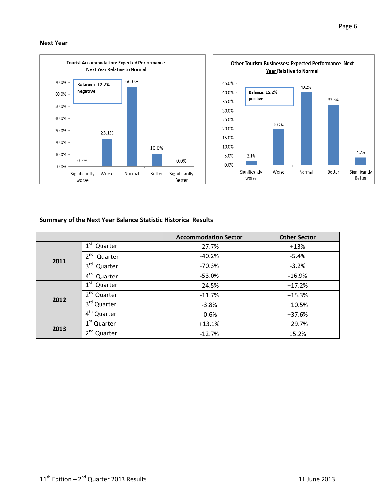#### **Next Year**



#### **Summary of the Next Year Balance Statistic Historical Results**

|      |                            | <b>Accommodation Sector</b> | <b>Other Sector</b> |
|------|----------------------------|-----------------------------|---------------------|
|      | 1 <sup>st</sup><br>Quarter | $-27.7%$                    | $+13%$              |
|      | $2^{nd}$<br>Quarter        | $-40.2%$                    | $-5.4%$             |
| 2011 | 3 <sup>rd</sup><br>Quarter | $-70.3%$                    | $-3.2%$             |
|      | 4 <sup>th</sup><br>Quarter | $-53.0%$                    | $-16.9%$            |
|      | $1^{\rm st}$<br>Quarter    | $-24.5%$                    | $+17.2%$            |
|      | 2 <sup>nd</sup> Quarter    | $-11.7%$                    | $+15.3%$            |
| 2012 | 3rd Quarter                | $-3.8%$                     | $+10.5%$            |
|      | 4 <sup>th</sup> Quarter    | $-0.6%$                     | +37.6%              |
| 2013 | 1 <sup>st</sup> Quarter    | $+13.1%$                    | $+29.7%$            |
|      | 2 <sup>nd</sup><br>Quarter | $-12.7%$                    | 15.2%               |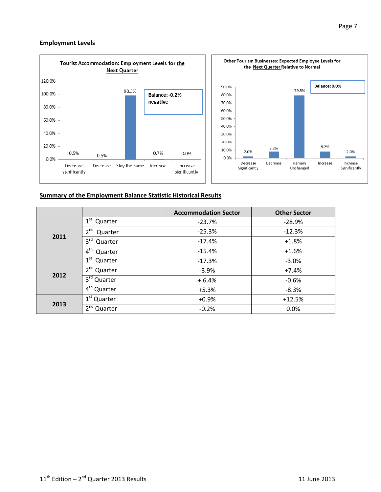#### **Employment Levels**



#### **Summary of the Employment Balance Statistic Historical Results**

|      |                            | <b>Accommodation Sector</b> | <b>Other Sector</b> |
|------|----------------------------|-----------------------------|---------------------|
|      | 1 <sup>st</sup> Quarter    | $-23.7%$                    | $-28.9%$            |
| 2011 | $2^{nd}$<br>Quarter        | $-25.3%$                    | $-12.3%$            |
|      | $3^{\text{rd}}$<br>Quarter | $-17.4%$                    | $+1.8%$             |
|      | $4^{\text{th}}$<br>Quarter | $-15.4%$                    | $+1.6%$             |
|      | $1^{\rm st}$<br>Quarter    | $-17.3%$                    | $-3.0%$             |
|      | $2nd$ Quarter              | $-3.9%$                     | $+7.4%$             |
| 2012 | 3rd Quarter                | $+6.4%$                     | $-0.6%$             |
|      | $4th$ Quarter              | $+5.3%$                     | $-8.3%$             |
|      | 1 <sup>st</sup> Quarter    | $+0.9%$                     | $+12.5%$            |
| 2013 | 2 <sup>nd</sup> Quarter    | $-0.2%$                     | 0.0%                |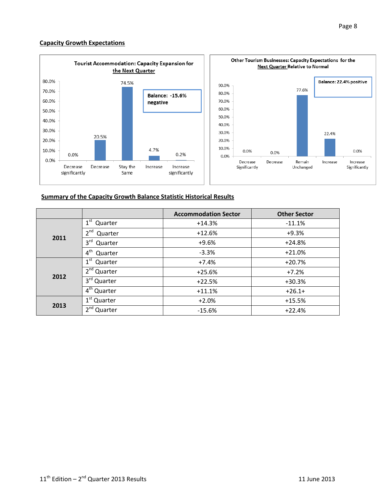#### **Capacity Growth Expectations**



#### **Summary of the Capacity Growth Balance Statistic Historical Results**

|      |                            | <b>Accommodation Sector</b> | <b>Other Sector</b> |
|------|----------------------------|-----------------------------|---------------------|
|      | 1 <sup>st</sup><br>Quarter | $+14.3%$                    | $-11.1%$            |
| 2011 | 2 <sup>nd</sup><br>Quarter | $+12.6%$                    | $+9.3%$             |
|      | $3^{\text{rd}}$<br>Quarter | $+9.6%$                     | $+24.8%$            |
|      | 4 <sup>th</sup><br>Quarter | $-3.3%$                     | $+21.0%$            |
|      | 1 <sup>st</sup><br>Quarter | $+7.4%$                     | $+20.7%$            |
| 2012 | $2nd$ Quarter              | $+25.6%$                    | $+7.2%$             |
|      | 3rd Quarter                | $+22.5%$                    | $+30.3%$            |
|      | 4 <sup>th</sup> Quarter    | $+11.1%$                    | $+26.1+$            |
|      | 1 <sup>st</sup> Quarter    | $+2.0%$                     | $+15.5%$            |
| 2013 | 2 <sup>nd</sup> Quarter    | $-15.6%$                    | $+22.4%$            |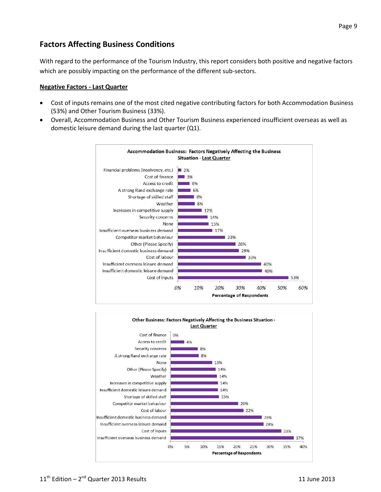## **Factors Affecting Business Conditions**

With regard to the performance of the Tourism Industry, this report considers both positive and negative factors which are possibly impacting on the performance of the different sub-sectors.

#### **Negative Factors - Last Quarter**

- Cost of inputs remains one of the most cited negative contributing factors for both Accommodation Business (53%) and Other Tourism Business (33%).
- Overall, Accommodation Business and Other Tourism Business experienced insufficient overseas as well as domestic leisure demand during the last quarter (Q1).



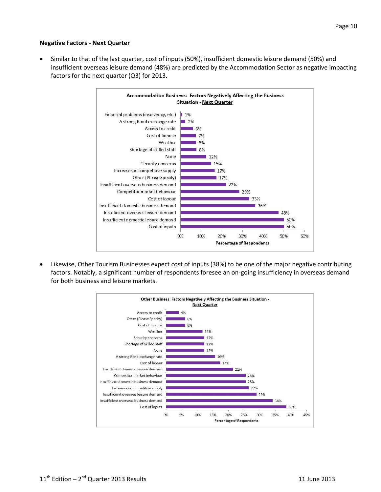#### **Negative Factors - Next Quarter**

 Similar to that of the last quarter, cost of inputs (50%), insufficient domestic leisure demand (50%) and insufficient overseas leisure demand (48%) are predicted by the Accommodation Sector as negative impacting factors for the next quarter (Q3) for 2013.



 Likewise, Other Tourism Businesses expect cost of inputs (38%) to be one of the major negative contributing factors. Notably, a significant number of respondents foresee an on-going insufficiency in overseas demand for both business and leisure markets.

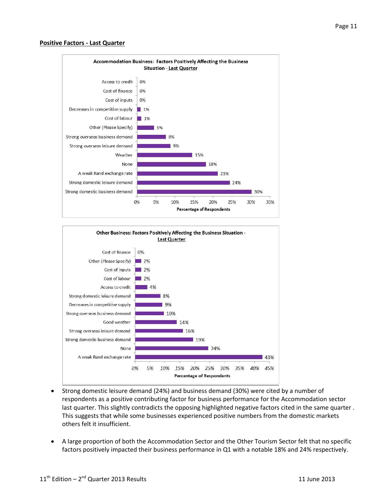#### **Positive Factors - Last Quarter**





- Strong domestic leisure demand (24%) and business demand (30%) were cited by a number of respondents as a positive contributing factor for business performance for the Accommodation sector last quarter. This slightly contradicts the opposing highlighted negative factors cited in the same quarter . This suggests that while some businesses experienced positive numbers from the domestic markets others felt it insufficient.
- A large proportion of both the Accommodation Sector and the Other Tourism Sector felt that no specific factors positively impacted their business performance in Q1 with a notable 18% and 24% respectively.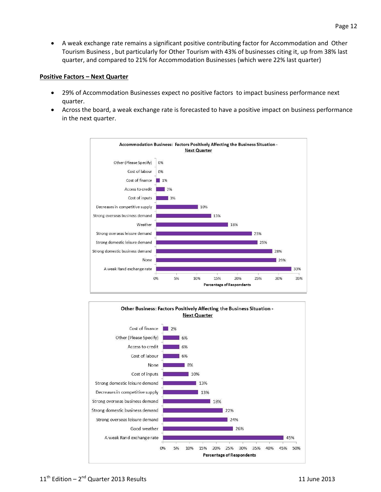A weak exchange rate remains a significant positive contributing factor for Accommodation and Other Tourism Business , but particularly for Other Tourism with 43% of businesses citing it, up from 38% last quarter, and compared to 21% for Accommodation Businesses (which were 22% last quarter)

#### **Positive Factors – Next Quarter**

- 29% of Accommodation Businesses expect no positive factors to impact business performance next quarter.
- Across the board, a weak exchange rate is forecasted to have a positive impact on business performance in the next quarter.



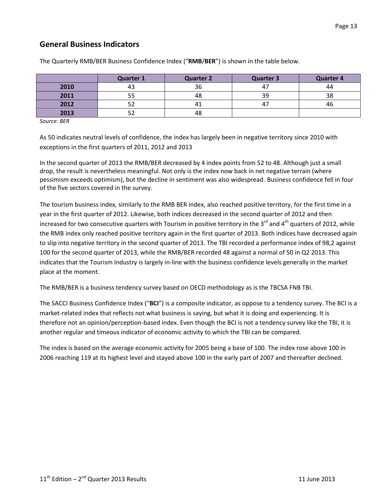## **General Business Indicators**

|      | <b>Quarter 1</b> | <b>Quarter 2</b> | <b>Quarter 3</b> | <b>Quarter 4</b> |
|------|------------------|------------------|------------------|------------------|
| 2010 |                  | 36               | 47               | 44               |
| 2011 |                  | 48               | 39               | 38               |
| 2012 |                  |                  | 4.               | 46               |
| 2013 | - -              | 48               |                  |                  |

The Quarterly RMB/BER Business Confidence Index ("**RMB**/**BER**") is shown in the table below.

*Source: BER*

As 50 indicates neutral levels of confidence, the index has largely been in negative territory since 2010 with exceptions in the first quarters of 2011, 2012 and 2013

In the second quarter of 2013 the RMB/BER decreased by 4 index points from 52 to 48. Although just a small drop, the result is nevertheless meaningful. Not only is the index now back in net negative terrain (where pessimism exceeds optimism), but the decline in sentiment was also widespread. Business confidence fell in four of the five sectors covered in the survey.

The tourism business index, similarly to the RMB BER index, also reached positive territory, for the first time in a year in the first quarter of 2012. Likewise, both indices decreased in the second quarter of 2012 and then increased for two consecutive quarters with Tourism in positive territory in the 3<sup>rd</sup> and 4<sup>th</sup> quarters of 2012, while the RMB index only reached positive territory again in the first quarter of 2013. Both indices have decreased again to slip into negative territory in the second quarter of 2013. The TBI recorded a performance index of 98,2 against 100 for the second quarter of 2013, while the RMB/BER recorded 48 against a normal of 50 in Q2 2013. This indicates that the Tourism Industry is largely in-line with the business confidence levels generally in the market place at the moment.

The RMB/BER is a business tendency survey based on OECD methodology as is the TBCSA FNB TBI.

The SACCI Business Confidence Index ("**BCI**") is a composite indicator, as oppose to a tendency survey. The BCI is a market-related index that reflects not what business is saying, but what it is doing and experiencing. It is therefore not an opinion/perception-based index. Even though the BCI is not a tendency survey like the TBI, it is another regular and timeous indicator of economic activity to which the TBI can be compared.

The index is based on the average economic activity for 2005 being a base of 100. The index rose above 100 in 2006 reaching 119 at its highest level and stayed above 100 in the early part of 2007 and thereafter declined.